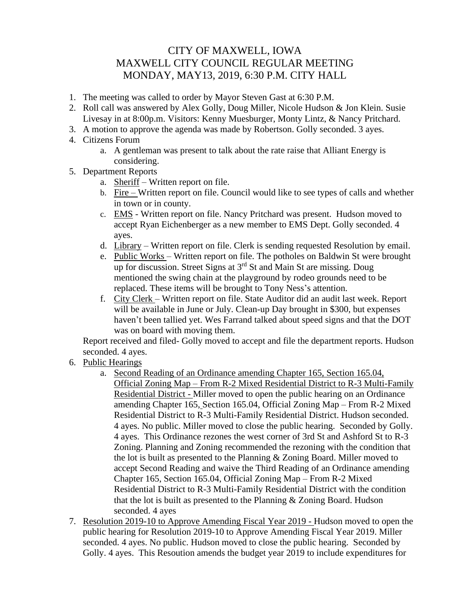## CITY OF MAXWELL, IOWA MAXWELL CITY COUNCIL REGULAR MEETING MONDAY, MAY13, 2019, 6:30 P.M. CITY HALL

- 1. The meeting was called to order by Mayor Steven Gast at 6:30 P.M.
- 2. Roll call was answered by Alex Golly, Doug Miller, Nicole Hudson & Jon Klein. Susie Livesay in at 8:00p.m. Visitors: Kenny Muesburger, Monty Lintz, & Nancy Pritchard.
- 3. A motion to approve the agenda was made by Robertson. Golly seconded. 3 ayes.
- 4. Citizens Forum
	- a. A gentleman was present to talk about the rate raise that Alliant Energy is considering.
- 5. Department Reports
	- a. Sheriff Written report on file.
	- b. Fire  $-$  Written report on file. Council would like to see types of calls and whether in town or in county.
	- c. EMS Written report on file. Nancy Pritchard was present. Hudson moved to accept Ryan Eichenberger as a new member to EMS Dept. Golly seconded. 4 ayes.
	- d. Library Written report on file. Clerk is sending requested Resolution by email.
	- e. Public Works Written report on file. The potholes on Baldwin St were brought up for discussion. Street Signs at 3rd St and Main St are missing. Doug mentioned the swing chain at the playground by rodeo grounds need to be replaced. These items will be brought to Tony Ness's attention.
	- f. City Clerk Written report on file. State Auditor did an audit last week. Report will be available in June or July. Clean-up Day brought in \$300, but expenses haven't been tallied yet. Wes Farrand talked about speed signs and that the DOT was on board with moving them.

Report received and filed- Golly moved to accept and file the department reports. Hudson seconded. 4 ayes.

- 6. Public Hearings
	- a. Second Reading of an Ordinance amending Chapter 165, Section 165.04, Official Zoning Map – From R-2 Mixed Residential District to R-3 Multi-Family Residential District - Miller moved to open the public hearing on an Ordinance amending Chapter 165, Section 165.04, Official Zoning Map – From R-2 Mixed Residential District to R-3 Multi-Family Residential District. Hudson seconded. 4 ayes. No public. Miller moved to close the public hearing. Seconded by Golly. 4 ayes. This Ordinance rezones the west corner of 3rd St and Ashford St to R-3 Zoning. Planning and Zoning recommended the rezoning with the condition that the lot is built as presented to the Planning & Zoning Board. Miller moved to accept Second Reading and waive the Third Reading of an Ordinance amending Chapter 165, Section 165.04, Official Zoning Map – From R-2 Mixed Residential District to R-3 Multi-Family Residential District with the condition that the lot is built as presented to the Planning & Zoning Board. Hudson seconded. 4 ayes
- 7. Resolution 2019-10 to Approve Amending Fiscal Year 2019 Hudson moved to open the public hearing for Resolution 2019-10 to Approve Amending Fiscal Year 2019. Miller seconded. 4 ayes. No public. Hudson moved to close the public hearing. Seconded by Golly. 4 ayes. This Resoution amends the budget year 2019 to include expenditures for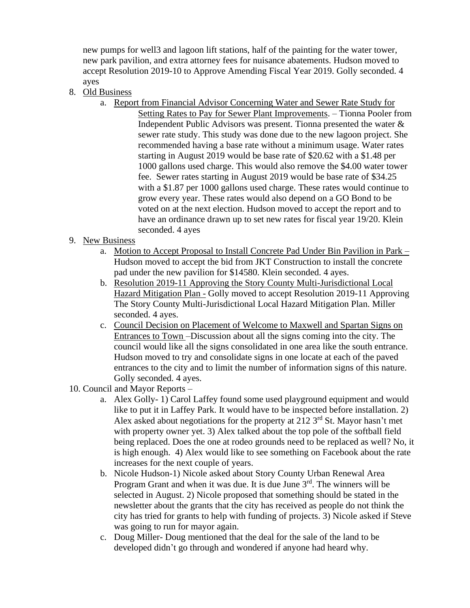new pumps for well3 and lagoon lift stations, half of the painting for the water tower, new park pavilion, and extra attorney fees for nuisance abatements. Hudson moved to accept Resolution 2019-10 to Approve Amending Fiscal Year 2019. Golly seconded. 4 ayes

- 8. Old Business
	- a. Report from Financial Advisor Concerning Water and Sewer Rate Study for Setting Rates to Pay for Sewer Plant Improvements. – Tionna Pooler from Independent Public Advisors was present. Tionna presented the water & sewer rate study. This study was done due to the new lagoon project. She recommended having a base rate without a minimum usage. Water rates starting in August 2019 would be base rate of \$20.62 with a \$1.48 per 1000 gallons used charge. This would also remove the \$4.00 water tower fee. Sewer rates starting in August 2019 would be base rate of \$34.25 with a \$1.87 per 1000 gallons used charge. These rates would continue to grow every year. These rates would also depend on a GO Bond to be voted on at the next election. Hudson moved to accept the report and to have an ordinance drawn up to set new rates for fiscal year 19/20. Klein seconded. 4 ayes
- 9. New Business
	- a. Motion to Accept Proposal to Install Concrete Pad Under Bin Pavilion in Park Hudson moved to accept the bid from JKT Construction to install the concrete pad under the new pavilion for \$14580. Klein seconded. 4 ayes.
	- b. Resolution 2019-11 Approving the Story County Multi-Jurisdictional Local Hazard Mitigation Plan - Golly moved to accept Resolution 2019-11 Approving The Story County Multi-Jurisdictional Local Hazard Mitigation Plan. Miller seconded. 4 ayes.
	- c. Council Decision on Placement of Welcome to Maxwell and Spartan Signs on Entrances to Town –Discussion about all the signs coming into the city. The council would like all the signs consolidated in one area like the south entrance. Hudson moved to try and consolidate signs in one locate at each of the paved entrances to the city and to limit the number of information signs of this nature. Golly seconded. 4 ayes.
- 10. Council and Mayor Reports
	- a. Alex Golly- 1) Carol Laffey found some used playground equipment and would like to put it in Laffey Park. It would have to be inspected before installation. 2) Alex asked about negotiations for the property at 212  $3<sup>rd</sup>$  St. Mayor hasn't met with property owner yet. 3) Alex talked about the top pole of the softball field being replaced. Does the one at rodeo grounds need to be replaced as well? No, it is high enough. 4) Alex would like to see something on Facebook about the rate increases for the next couple of years.
	- b. Nicole Hudson-1) Nicole asked about Story County Urban Renewal Area Program Grant and when it was due. It is due June 3<sup>rd</sup>. The winners will be selected in August. 2) Nicole proposed that something should be stated in the newsletter about the grants that the city has received as people do not think the city has tried for grants to help with funding of projects. 3) Nicole asked if Steve was going to run for mayor again.
	- c. Doug Miller- Doug mentioned that the deal for the sale of the land to be developed didn't go through and wondered if anyone had heard why.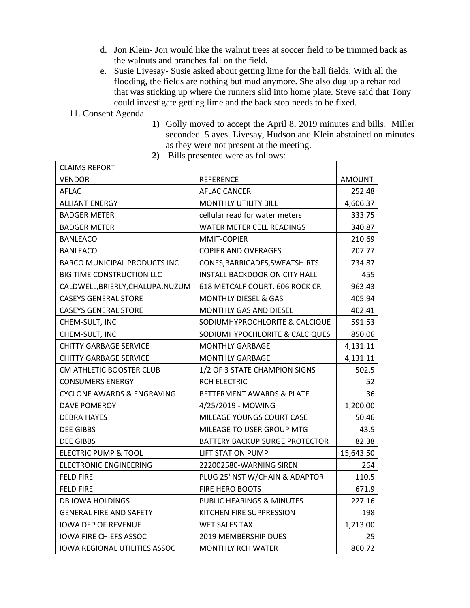- d. Jon Klein- Jon would like the walnut trees at soccer field to be trimmed back as the walnuts and branches fall on the field.
- e. Susie Livesay- Susie asked about getting lime for the ball fields. With all the flooding, the fields are nothing but mud anymore. She also dug up a rebar rod that was sticking up where the runners slid into home plate. Steve said that Tony could investigate getting lime and the back stop needs to be fixed.
- 11. Consent Agenda
- **1)** Golly moved to accept the April 8, 2019 minutes and bills. Miller seconded. 5 ayes. Livesay, Hudson and Klein abstained on minutes as they were not present at the meeting.
- **2)** Bills presented were as follows:

| <b>CLAIMS REPORT</b>                  |                                       |           |
|---------------------------------------|---------------------------------------|-----------|
| VENDOR                                | <b>REFERENCE</b>                      | AMOUNT    |
| <b>AFLAC</b>                          | <b>AFLAC CANCER</b>                   | 252.48    |
| <b>ALLIANT ENERGY</b>                 | <b>MONTHLY UTILITY BILL</b>           | 4,606.37  |
| <b>BADGER METER</b>                   | cellular read for water meters        | 333.75    |
| <b>BADGER METER</b>                   | WATER METER CELL READINGS             | 340.87    |
| <b>BANLEACO</b>                       | MMIT-COPIER                           | 210.69    |
| <b>BANLEACO</b>                       | <b>COPIER AND OVERAGES</b>            | 207.77    |
| <b>BARCO MUNICIPAL PRODUCTS INC</b>   | CONES, BARRICADES, SWEATSHIRTS        | 734.87    |
| <b>BIG TIME CONSTRUCTION LLC</b>      | INSTALL BACKDOOR ON CITY HALL         | 455       |
| CALDWELL, BRIERLY, CHALUPA, NUZUM     | 618 METCALF COURT, 606 ROCK CR        | 963.43    |
| <b>CASEYS GENERAL STORE</b>           | <b>MONTHLY DIESEL &amp; GAS</b>       | 405.94    |
| <b>CASEYS GENERAL STORE</b>           | MONTHLY GAS AND DIESEL                | 402.41    |
| CHEM-SULT, INC                        | SODIUMHYPROCHLORITE & CALCIQUE        | 591.53    |
| CHEM-SULT, INC                        | SODIUMHYPOCHLORITE & CALCIQUES        | 850.06    |
| <b>CHITTY GARBAGE SERVICE</b>         | <b>MONTHLY GARBAGE</b>                | 4,131.11  |
| <b>CHITTY GARBAGE SERVICE</b>         | <b>MONTHLY GARBAGE</b>                | 4,131.11  |
| CM ATHLETIC BOOSTER CLUB              | 1/2 OF 3 STATE CHAMPION SIGNS         | 502.5     |
| <b>CONSUMERS ENERGY</b>               | <b>RCH ELECTRIC</b>                   | 52        |
| <b>CYCLONE AWARDS &amp; ENGRAVING</b> | BETTERMENT AWARDS & PLATE             | 36        |
| <b>DAVE POMEROY</b>                   | 4/25/2019 - MOWING                    | 1,200.00  |
| <b>DEBRA HAYES</b>                    | MILEAGE YOUNGS COURT CASE             | 50.46     |
| <b>DEE GIBBS</b>                      | MILEAGE TO USER GROUP MTG             | 43.5      |
| <b>DEE GIBBS</b>                      | <b>BATTERY BACKUP SURGE PROTECTOR</b> | 82.38     |
| <b>ELECTRIC PUMP &amp; TOOL</b>       | <b>LIFT STATION PUMP</b>              | 15,643.50 |
| <b>ELECTRONIC ENGINEERING</b>         | 222002580-WARNING SIREN               | 264       |
| <b>FELD FIRE</b>                      | PLUG 25' NST W/CHAIN & ADAPTOR        | 110.5     |
| <b>FELD FIRE</b>                      | FIRE HERO BOOTS                       | 671.9     |
| <b>DB IOWA HOLDINGS</b>               | PUBLIC HEARINGS & MINUTES             | 227.16    |
| <b>GENERAL FIRE AND SAFETY</b>        | KITCHEN FIRE SUPPRESSION              | 198       |
| <b>IOWA DEP OF REVENUE</b>            | <b>WET SALES TAX</b>                  | 1,713.00  |
| <b>IOWA FIRE CHIEFS ASSOC</b>         | 2019 MEMBERSHIP DUES                  | 25        |
| <b>IOWA REGIONAL UTILITIES ASSOC</b>  | <b>MONTHLY RCH WATER</b>              | 860.72    |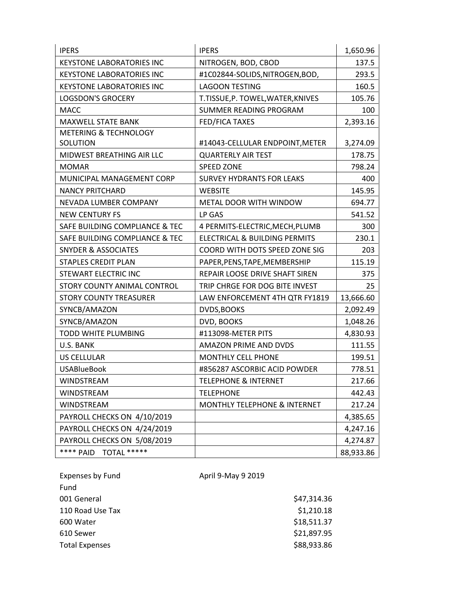| <b>IPERS</b>                     | <b>IPERS</b>                      | 1,650.96  |
|----------------------------------|-----------------------------------|-----------|
| <b>KEYSTONE LABORATORIES INC</b> | NITROGEN, BOD, CBOD               | 137.5     |
| <b>KEYSTONE LABORATORIES INC</b> | #1C02844-SOLIDS, NITROGEN, BOD,   | 293.5     |
| <b>KEYSTONE LABORATORIES INC</b> | <b>LAGOON TESTING</b>             | 160.5     |
| <b>LOGSDON'S GROCERY</b>         | T.TISSUE, P. TOWEL, WATER, KNIVES | 105.76    |
| <b>MACC</b>                      | SUMMER READING PROGRAM            | 100       |
| <b>MAXWELL STATE BANK</b>        | <b>FED/FICA TAXES</b>             | 2,393.16  |
| <b>METERING &amp; TECHNOLOGY</b> |                                   |           |
| SOLUTION                         | #14043-CELLULAR ENDPOINT, METER   | 3,274.09  |
| MIDWEST BREATHING AIR LLC        | <b>QUARTERLY AIR TEST</b>         | 178.75    |
| <b>MOMAR</b>                     | <b>SPEED ZONE</b>                 | 798.24    |
| MUNICIPAL MANAGEMENT CORP        | <b>SURVEY HYDRANTS FOR LEAKS</b>  | 400       |
| <b>NANCY PRITCHARD</b>           | <b>WEBSITE</b>                    | 145.95    |
| NEVADA LUMBER COMPANY            | METAL DOOR WITH WINDOW            | 694.77    |
| <b>NEW CENTURY FS</b>            | LP GAS                            | 541.52    |
| SAFE BUILDING COMPLIANCE & TEC   | 4 PERMITS-ELECTRIC, MECH, PLUMB   | 300       |
| SAFE BUILDING COMPLIANCE & TEC   | ELECTRICAL & BUILDING PERMITS     | 230.1     |
| SNYDER & ASSOCIATES              | COORD WITH DOTS SPEED ZONE SIG    | 203       |
| <b>STAPLES CREDIT PLAN</b>       | PAPER, PENS, TAPE, MEMBERSHIP     | 115.19    |
| STEWART ELECTRIC INC             | REPAIR LOOSE DRIVE SHAFT SIREN    | 375       |
| STORY COUNTY ANIMAL CONTROL      | TRIP CHRGE FOR DOG BITE INVEST    | 25        |
| <b>STORY COUNTY TREASURER</b>    | LAW ENFORCEMENT 4TH QTR FY1819    | 13,666.60 |
| SYNCB/AMAZON                     | <b>DVDS, BOOKS</b>                | 2,092.49  |
| SYNCB/AMAZON                     | DVD, BOOKS                        | 1,048.26  |
| <b>TODD WHITE PLUMBING</b>       | #113098-METER PITS                | 4,830.93  |
| U.S. BANK                        | AMAZON PRIME AND DVDS             | 111.55    |
| <b>US CELLULAR</b>               | <b>MONTHLY CELL PHONE</b>         | 199.51    |
| <b>USABlueBook</b>               | #856287 ASCORBIC ACID POWDER      | 778.51    |
| <b>WINDSTREAM</b>                | <b>TELEPHONE &amp; INTERNET</b>   | 217.66    |
| WINDSTREAM                       | <b>TELEPHONE</b>                  | 442.43    |
| WINDSTREAM                       | MONTHLY TELEPHONE & INTERNET      | 217.24    |
| PAYROLL CHECKS ON 4/10/2019      |                                   | 4,385.65  |
| PAYROLL CHECKS ON 4/24/2019      |                                   | 4,247.16  |
| PAYROLL CHECKS ON 5/08/2019      |                                   | 4,274.87  |
| TOTAL *****<br>**** PAID         |                                   | 88,933.86 |

| Expenses by Fund      | April 9-May 9 2019 |             |
|-----------------------|--------------------|-------------|
| Fund                  |                    |             |
| 001 General           |                    | \$47,314.36 |
| 110 Road Use Tax      |                    | \$1,210.18  |
| 600 Water             |                    | \$18,511.37 |
| 610 Sewer             |                    | \$21,897.95 |
| <b>Total Expenses</b> |                    | \$88,933.86 |